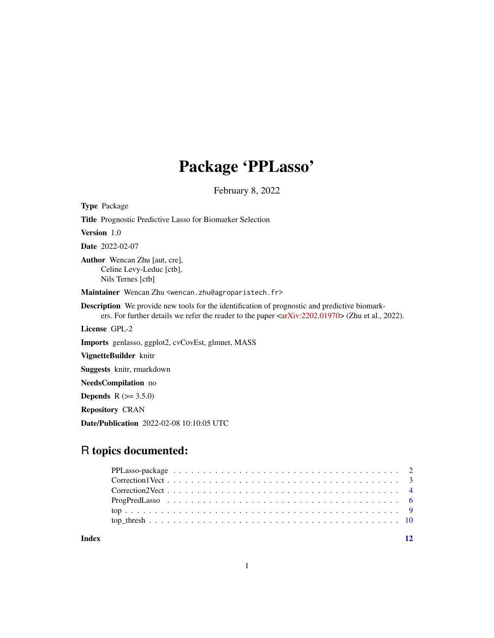## Package 'PPLasso'

February 8, 2022

<span id="page-0-0"></span>Type Package Title Prognostic Predictive Lasso for Biomarker Selection Version 1.0 Date 2022-02-07 Author Wencan Zhu [aut, cre], Celine Levy-Leduc [ctb], Nils Ternes [ctb] Maintainer Wencan Zhu <wencan.zhu@agroparistech.fr> Description We provide new tools for the identification of prognostic and predictive biomarkers. For further details we refer the reader to the paper [<arXiv:2202.01970>](https://arxiv.org/abs/2202.01970) (Zhu et al., 2022). License GPL-2 Imports genlasso, ggplot2, cvCovEst, glmnet, MASS VignetteBuilder knitr Suggests knitr, rmarkdown NeedsCompilation no **Depends**  $R (= 3.5.0)$ Repository CRAN

Date/Publication 2022-02-08 10:10:05 UTC

### R topics documented:

| Index | 12 |
|-------|----|

1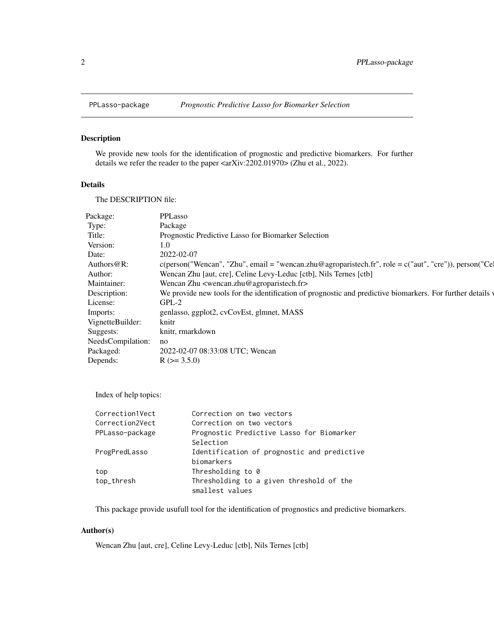<span id="page-1-0"></span>

#### Description

We provide new tools for the identification of prognostic and predictive biomarkers. For further details we refer the reader to the paper <arXiv:2202.01970> (Zhu et al., 2022).

#### Details

The DESCRIPTION file:

| Package:          | PPLasso                                                                                                       |
|-------------------|---------------------------------------------------------------------------------------------------------------|
| Type:             | Package                                                                                                       |
| Title:            | Prognostic Predictive Lasso for Biomarker Selection                                                           |
| Version:          | 1.0                                                                                                           |
| Date:             | 2022-02-07                                                                                                    |
| Authors $@R$ :    | $c(\text{person("Wencan", "Zhu", email = "wencanzhu@agroparistech.fr", role = }c("aut", "cre"))$ , person("Ce |
| Author:           | Wencan Zhu [aut, cre], Celine Levy-Leduc [ctb], Nils Ternes [ctb]                                             |
| Maintainer:       | Wencan Zhu <wencan.zhu@agroparistech.fr></wencan.zhu@agroparistech.fr>                                        |
| Description:      | We provide new tools for the identification of prognostic and predictive biomarkers. For further details v    |
| License:          | $GPL-2$                                                                                                       |
| Imports:          | genlasso, ggplot2, cvCovEst, glmnet, MASS                                                                     |
| VignetteBuilder:  | knitr                                                                                                         |
| Suggests:         | knitr, rmarkdown                                                                                              |
| NeedsCompilation: | no                                                                                                            |
| Packaged:         | 2022-02-07 08:33:08 UTC; Wencan                                                                               |
| Depends:          | $R$ ( $>=$ 3.5.0)                                                                                             |
|                   |                                                                                                               |

Index of help topics:

| Correction on two vectors                   |
|---------------------------------------------|
| Correction on two vectors                   |
| Prognostic Predictive Lasso for Biomarker   |
| Selection                                   |
| Identification of prognostic and predictive |
| biomarkers                                  |
| Thresholding to 0                           |
| Thresholding to a given threshold of the    |
| smallest values                             |
|                                             |

This package provide usufull tool for the identification of prognostics and predictive biomarkers.

#### Author(s)

Wencan Zhu [aut, cre], Celine Levy-Leduc [ctb], Nils Ternes [ctb]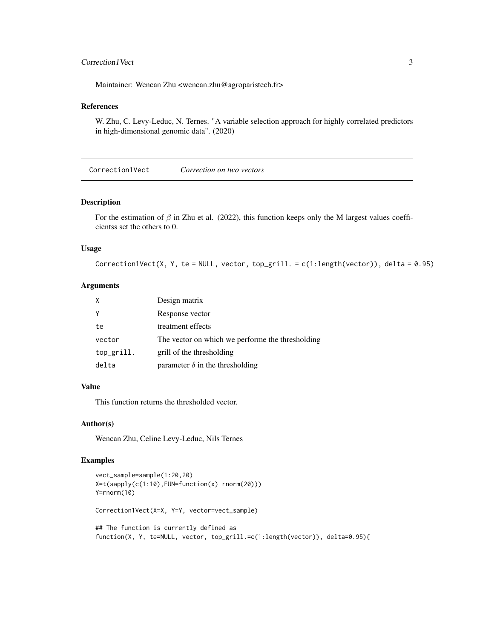#### <span id="page-2-0"></span>Correction I Vect 3

Maintainer: Wencan Zhu <wencan.zhu@agroparistech.fr>

#### References

W. Zhu, C. Levy-Leduc, N. Ternes. "A variable selection approach for highly correlated predictors in high-dimensional genomic data". (2020)

Correction1Vect *Correction on two vectors*

#### Description

For the estimation of  $\beta$  in Zhu et al. (2022), this function keeps only the M largest values coefficientss set the others to 0.

#### Usage

Correction1Vect(X, Y, te = NULL, vector, top\_grill. =  $c(1:length(vector))$ , delta = 0.95)

#### Arguments

| X          | Design matrix                                    |
|------------|--------------------------------------------------|
| Y          | Response vector                                  |
| te         | treatment effects                                |
| vector     | The vector on which we performe the thresholding |
| top_grill. | grill of the thresholding                        |
| delta      | parameter $\delta$ in the thresholding           |

#### Value

This function returns the thresholded vector.

#### Author(s)

Wencan Zhu, Celine Levy-Leduc, Nils Ternes

```
vect_sample=sample(1:20,20)
X=t(sapply(c(1:10),FUN=function(x) rnorm(20)))
Y=rnorm(10)
Correction1Vect(X=X, Y=Y, vector=vect_sample)
## The function is currently defined as
function(X, Y, te=NULL, vector, top_grill.=c(1:length(vector)), delta=0.95){
```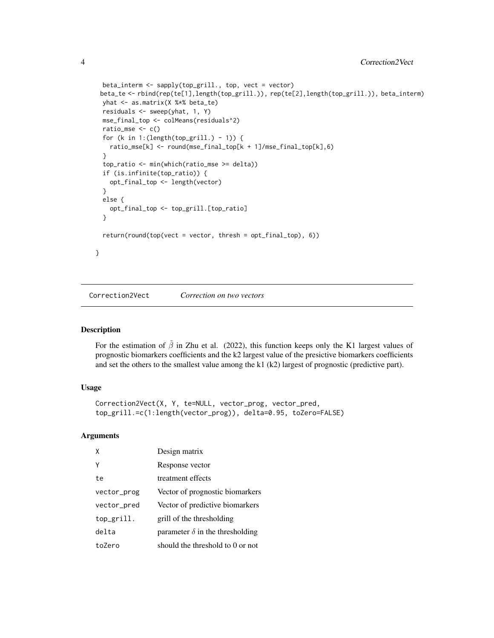```
beta_interm <- sapply(top_grill., top, vect = vector)
 beta_te <- rbind(rep(te[1],length(top_grill.)), rep(te[2],length(top_grill.)), beta_interm)
 yhat <- as.matrix(X %*% beta_te)
 residuals <- sweep(yhat, 1, Y)
 mse_final_top <- colMeans(residuals^2)
 ratio_mse \leq c()
 for (k in 1:(length(top_grill.) - 1)) {
   ratio_mse[k] <- round(mse_final_top[k + 1]/mse_final_top[k],6)
 }
 top_ratio <- min(which(ratio_mse >= delta))
 if (is.infinite(top_ratio)) {
   opt_final_top <- length(vector)
 }
 else {
   opt_final_top <- top_grill.[top_ratio]
 }
 return(round(top(vect = vector, thresh = opt_final_top), 6))
}
```
Correction2Vect *Correction on two vectors*

#### Description

For the estimation of  $\tilde{\beta}$  in Zhu et al. (2022), this function keeps only the K1 largest values of prognostic biomarkers coefficients and the k2 largest value of the presictive biomarkers coefficients and set the others to the smallest value among the k1 (k2) largest of prognostic (predictive part).

#### Usage

```
Correction2Vect(X, Y, te=NULL, vector_prog, vector_pred,
top_grill.=c(1:length(vector_prog)), delta=0.95, toZero=FALSE)
```
#### Arguments

| X           | Design matrix                          |
|-------------|----------------------------------------|
| Υ           | Response vector                        |
| te          | treatment effects                      |
| vector_prog | Vector of prognostic biomarkers        |
| vector_pred | Vector of predictive biomarkers        |
| top_grill.  | grill of the thresholding              |
| delta       | parameter $\delta$ in the thresholding |
| to7ero      | should the threshold to 0 or not       |

<span id="page-3-0"></span>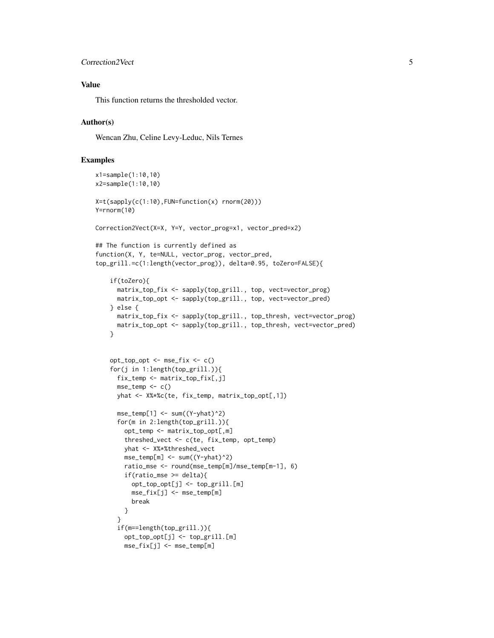#### Correction2Vect 5

#### Value

This function returns the thresholded vector.

#### Author(s)

Wencan Zhu, Celine Levy-Leduc, Nils Ternes

```
x1=sample(1:10,10)
x2=sample(1:10,10)
X=t(sapply(c(1:10),FUN=function(x) rnorm(20)))
Y=rnorm(10)
Correction2Vect(X=X, Y=Y, vector_prog=x1, vector_pred=x2)
## The function is currently defined as
function(X, Y, te=NULL, vector_prog, vector_pred,
top_grill.=c(1:length(vector_prog)), delta=0.95, toZero=FALSE){
   if(toZero){
     matrix_top_fix <- sapply(top_grill., top, vect=vector_prog)
     matrix_top_opt <- sapply(top_grill., top, vect=vector_pred)
    } else {
     matrix_top_fix <- sapply(top_grill., top_thresh, vect=vector_prog)
     matrix_top_opt <- sapply(top_grill., top_thresh, vect=vector_pred)
    }
   opt_top_opt <- mse_fix <- c()
    for(j in 1:length(top_grill.)){
     fix_temp <- matrix_top_fix[,j]
     mse_temp \leftarrow c()yhat <- X%*%c(te, fix_temp, matrix_top_opt[,1])
     mse_temp[1] <- sum((Y-yhat)^2)
     for(m in 2:length(top_grill.)){
        opt_temp <- matrix_top_opt[,m]
        threshed_vect <- c(te, fix_temp, opt_temp)
       yhat <- X%*%threshed_vect
       mse_ttemp[m] \leq -sum((Y-yhat)^2)ratio_mse <- round(mse_temp[m]/mse_temp[m-1], 6)
        if(ratio_mse >= delta){
         opt_top_opt[j] <- top_grill.[m]
         mse_fix[j] <- mse_temp[m]
         break
       }
     }
     if(m==length(top_grill.)){
       opt_top_opt[j] <- top_grill.[m]
       mse_fix[j] <- mse_temp[m]
```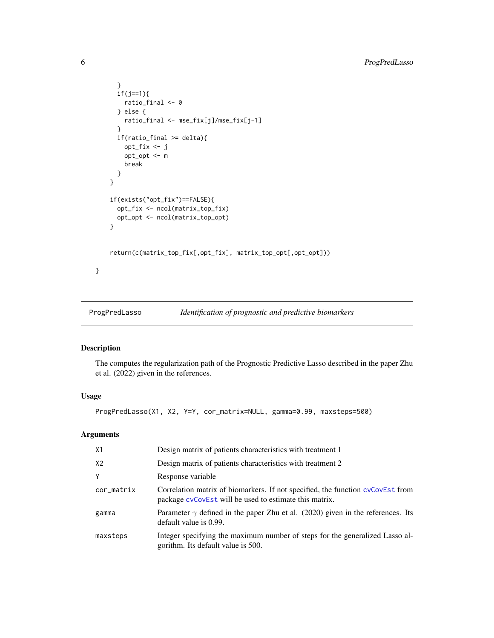```
}
      if(j==1){ratio_final <- 0
      } else {
       ratio_final <- mse_fix[j]/mse_fix[j-1]
      }
      if(ratio_final >= delta){
       opt_fix <- j
       opt_opt <- m
       break
     }
   }
    if(exists("opt_fix")==FALSE){
     opt_fix <- ncol(matrix_top_fix)
     opt_opt <- ncol(matrix_top_opt)
    }
    return(c(matrix_top_fix[,opt_fix], matrix_top_opt[,opt_opt]))
}
```
ProgPredLasso *Identification of prognostic and predictive biomarkers*

#### Description

The computes the regularization path of the Prognostic Predictive Lasso described in the paper Zhu et al. (2022) given in the references.

#### Usage

ProgPredLasso(X1, X2, Y=Y, cor\_matrix=NULL, gamma=0.99, maxsteps=500)

#### Arguments

| X1             | Design matrix of patients characteristics with treatment 1                                                                                |
|----------------|-------------------------------------------------------------------------------------------------------------------------------------------|
| X <sub>2</sub> | Design matrix of patients characteristics with treatment 2                                                                                |
| Y              | Response variable                                                                                                                         |
| cor_matrix     | Correlation matrix of biomarkers. If not specified, the function cyCovEst from<br>package cycoverst will be used to estimate this matrix. |
| gamma          | Parameter $\gamma$ defined in the paper Zhu et al. (2020) given in the references. Its<br>default value is 0.99.                          |
| maxsteps       | Integer specifying the maximum number of steps for the generalized Lasso al-<br>gorithm. Its default value is 500.                        |

<span id="page-5-0"></span>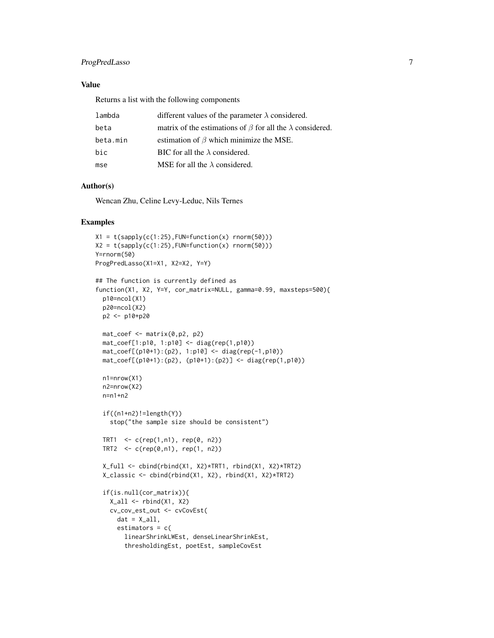#### ProgPredLasso 7

#### Value

Returns a list with the following components

| lambda   | different values of the parameter $\lambda$ considered.                |
|----------|------------------------------------------------------------------------|
| beta     | matrix of the estimations of $\beta$ for all the $\lambda$ considered. |
| beta.min | estimation of $\beta$ which minimize the MSE.                          |
| bic      | BIC for all the $\lambda$ considered.                                  |
| mse      | MSE for all the $\lambda$ considered.                                  |

#### Author(s)

Wencan Zhu, Celine Levy-Leduc, Nils Ternes

```
X1 = t(sapply(c(1:25), FUN=function(x) rnorm(50)))X2 = t(sapply(c(1:25), FUN=function(x) rnorm(50)))Y=rnorm(50)
ProgPredLasso(X1=X1, X2=X2, Y=Y)
## The function is currently defined as
function(X1, X2, Y=Y, cor_matrix=NULL, gamma=0.99, maxsteps=500){
  p10=ncol(X1)
  p20=ncol(X2)
  p2 <- p10+p20
  mat\_coeff \leftarrow matrix(0,p2, p2)mat_coef[1:p10, 1:p10] <- diag(rep(1,p10))
  mat_coef[(p10+1):(p2), 1:p10] <- diag(rep(-1,p10))
  mat_coef[(p10+1):(p2), (p10+1):(p2)] <- diag(rep(1,p10))
  n1=nrow(X1)
  n2=nrow(X2)
  n=n1+n2
  if((n1+n2)!=length(Y))stop("the sample size should be consistent")
  TRT1 \leq c(rep(1,n1), rep(0, n2))
  TRT2 \leq c (rep(0,n1), rep(1, n2))
  X_full <- cbind(rbind(X1, X2)*TRT1, rbind(X1, X2)*TRT2)
  X_classic <- cbind(rbind(X1, X2), rbind(X1, X2)*TRT2)
  if(is.null(cor_matrix)){
    X<sub>-all</sub> \leftarrow rbind(X1, X2)
    cv_cov_est_out <- cvCovEst(
      dat = X_a11,estimators = c(
        linearShrinkLWEst, denseLinearShrinkEst,
        thresholdingEst, poetEst, sampleCovEst
```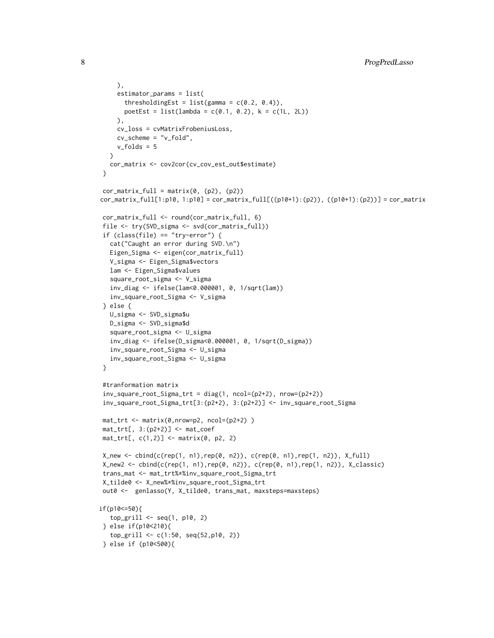```
),
     estimator_params = list(
       thresholdingEst = list(gamma = c(0.2, 0.4)),poetEst = list(lambda = c(0.1, 0.2), k = c(1L, 2L))),
     cv_loss = cvMatrixFrobeniusLoss,
     cv_scheme = "v_fold",
     v_folds = 5
  \lambdacor_matrix <- cov2cor(cv_cov_est_out$estimate)
}
cor_matrix_full = matrix(0, (p2), (p2))cor_matrix_full[1:p10, 1:p10] = cor_matrix_full[((p10+1):(p2)), ((p10+1):(p2))] = cor_matrix
cor_matrix_full <- round(cor_matrix_full, 6)
file <- try(SVD_sigma <- svd(cor_matrix_full))
if (class(file) == "try-error") {
   cat("Caught an error during SVD.\n")
  Eigen_Sigma <- eigen(cor_matrix_full)
  V_sigma <- Eigen_Sigma$vectors
  lam <- Eigen_Sigma$values
   square_root_sigma <- V_sigma
   inv_diag <- ifelse(lam<0.000001, 0, 1/sqrt(lam))
   inv_square_root_Sigma <- V_sigma
} else {
  U_sigma <- SVD_sigma$u
  D_sigma <- SVD_sigma$d
   square_root_sigma <- U_sigma
   inv_diag <- ifelse(D_sigma<0.000001, 0, 1/sqrt(D_sigma))
   inv_square_root_Sigma <- U_sigma
  inv_square_root_Sigma <- U_sigma
}
#tranformation matrix
inv_square_root_Sigma_trt = diag(1, ncol=(p2+2), nrow=(p2+2))
inv_square_root_Sigma_trt[3:(p2+2), 3:(p2+2)] <- inv_square_root_Sigma
mat_trt <- matrix(0,nrow=p2, ncol=(p2+2) )
mat-trt[, 3:(p2+2)] \leftarrow mat\_coeffmat-trt[, c(1,2)] \leftarrow matrix(0, p2, 2)X_new <- cbind(c(rep(1, n1),rep(0, n2)), c(rep(0, n1),rep(1, n2)), X_full)
X_new2 \leq - \text{cbind}(c(\text{rep}(1, n1), \text{rep}(0, n2)), c(\text{rep}(0, n1), \text{rep}(1, n2)), X_classic)trans_mat <- mat_trt%*%inv_square_root_Sigma_trt
X_tilde0 <- X_new%*%inv_square_root_Sigma_trt
out0 <- genlasso(Y, X_tilde0, trans_mat, maxsteps=maxsteps)
if(p10<=50){
  top_grill <- seq(1, p10, 2)
} else if(p10<210){
   top_grill <- c(1:50, seq(52,p10, 2))
} else if (p10<500){
```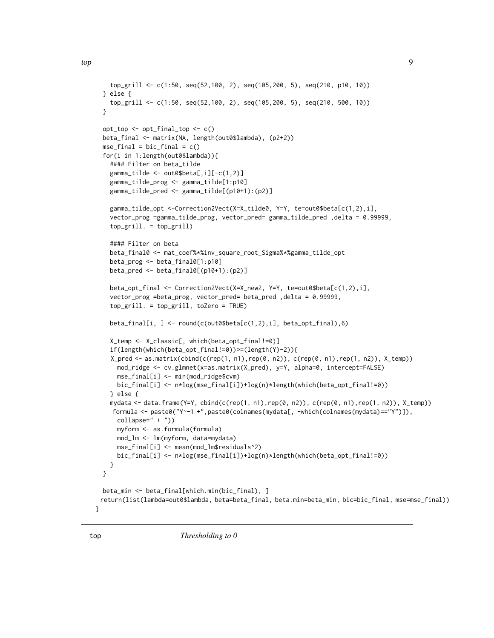```
top_grill <- c(1:50, seq(52,100, 2), seq(105,200, 5), seq(210, p10, 10))
} else {
  top_grill <- c(1:50, seq(52,100, 2), seq(105,200, 5), seq(210, 500, 10))
}
opt_top <- opt_final_top <- c()
beta_final <- matrix(NA, length(out0$lambda), (p2+2))
mse_final = bic_final = c()for(i in 1:length(out0$lambda)){
  #### Filter on beta_tilde
  gamma_tilde <- out0$beta[,i][-c(1,2)]
  gamma_tilde_prog <- gamma_tilde[1:p10]
  gamma_tilde_pred <- gamma_tilde[(p10+1):(p2)]
  gamma_tilde_opt <-Correction2Vect(X=X_tilde0, Y=Y, te=out0$beta[c(1,2),i],
  vector_prog =gamma_tilde_prog, vector_pred= gamma_tilde_pred ,delta = 0.99999,
  top_grill. = top_grill)
  #### Filter on beta
  beta_final0 <- mat_coef%*%inv_square_root_Sigma%*%gamma_tilde_opt
  beta_prog <- beta_final0[1:p10]
  beta_pred <- beta_final0[(p10+1):(p2)]
  beta_opt_final <- Correction2Vect(X=X_new2, Y=Y, te=out0$beta[c(1,2),i],
  vector_prog =beta_prog, vector_pred= beta_pred ,delta = 0.99999,
  top_grill. = top_grill, toZero = TRUE)
  beta_final[i, ] <- round(c(out0$beta[c(1,2),i], beta_opt_final),6)
  X_temp <- X_classic[, which(beta_opt_final!=0)]
  if(length(which(beta_opt_final!=0))>=(length(Y)-2)){
  X_pred <- as.matrix(cbind(c(rep(1, n1),rep(0, n2)), c(rep(0, n1),rep(1, n2)), X_temp))
    mod_ridge <- cv.glmnet(x=as.matrix(X_pred), y=Y, alpha=0, intercept=FALSE)
    mse_final[i] <- min(mod_ridge$cvm)
    bic_final[i] <- n*log(mse_final[i])+log(n)*length(which(beta_opt_final!=0))
  } else {
  mydata <- data.frame(Y=Y, cbind(c(rep(1, n1),rep(0, n2)), c(rep(0, n1),rep(1, n2)), X_temp))
   formula <- paste0("Y~-1 +",paste0(colnames(mydata[, -which(colnames(mydata)=="Y")]),
    collapse=" + "))myform <- as.formula(formula)
    mod_lm <- lm(myform, data=mydata)
    mse_final[i] <- mean(mod_lm$residuals^2)
    bic_final[i] <- n*log(mse_final[i])+log(n)*length(which(beta_opt_final!=0))
  }
}
beta_min <- beta_final[which.min(bic_final), ]
return(list(lambda=out0$lambda, beta=beta_final, beta.min=beta_min, bic=bic_final, mse=mse_final))
```
}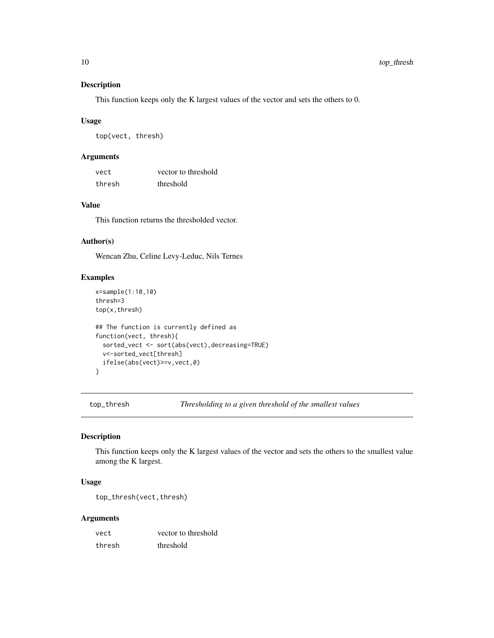#### Description

This function keeps only the K largest values of the vector and sets the others to 0.

#### Usage

top(vect, thresh)

#### Arguments

| vect   | vector to threshold |
|--------|---------------------|
| thresh | threshold           |

#### Value

This function returns the thresholded vector.

#### Author(s)

Wencan Zhu, Celine Levy-Leduc, Nils Ternes

#### Examples

```
x=sample(1:10,10)
thresh=3
top(x,thresh)
## The function is currently defined as
function(vect, thresh){
 sorted_vect <- sort(abs(vect),decreasing=TRUE)
 v<-sorted_vect[thresh]
 ifelse(abs(vect)>=v,vect,0)
}
```
top\_thresh *Thresholding to a given threshold of the smallest values*

#### Description

This function keeps only the K largest values of the vector and sets the others to the smallest value among the K largest.

#### Usage

top\_thresh(vect,thresh)

#### Arguments

| vect   | vector to threshold |
|--------|---------------------|
| thresh | threshold           |

<span id="page-9-0"></span>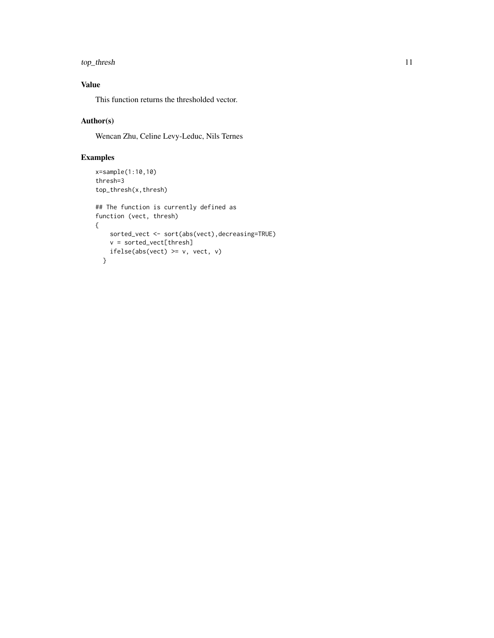#### top\_thresh 11

#### Value

This function returns the thresholded vector.

#### Author(s)

Wencan Zhu, Celine Levy-Leduc, Nils Ternes

```
x=sample(1:10,10)
thresh=3
top_thresh(x,thresh)
## The function is currently defined as
function (vect, thresh)
{
   sorted_vect <- sort(abs(vect),decreasing=TRUE)
   v = sorted_vect[thresh]
   ifelse(abs(vect) >= v, vect, v)
  }
```